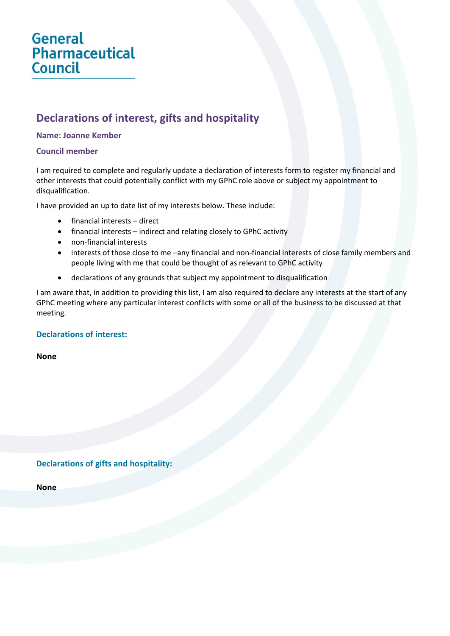# **General Pharmaceutical Council**

# **Declarations of interest, gifts and hospitality**

#### **Name: Joanne Kember**

#### **Council member**

I am required to complete and regularly update a declaration of interests form to register my financial and other interests that could potentially conflict with my GPhC role above or subject my appointment to disqualification.

I have provided an up to date list of my interests below. These include:

- financial interests direct
- financial interests indirect and relating closely to GPhC activity
- non-financial interests
- interests of those close to me –any financial and non-financial interests of close family members and people living with me that could be thought of as relevant to GPhC activity
- declarations of any grounds that subject my appointment to disqualification

I am aware that, in addition to providing this list, I am also required to declare any interests at the start of any GPhC meeting where any particular interest conflicts with some or all of the business to be discussed at that meeting.

## **Declarations of interest:**

**None**

**Declarations of gifts and hospitality:**

**None**